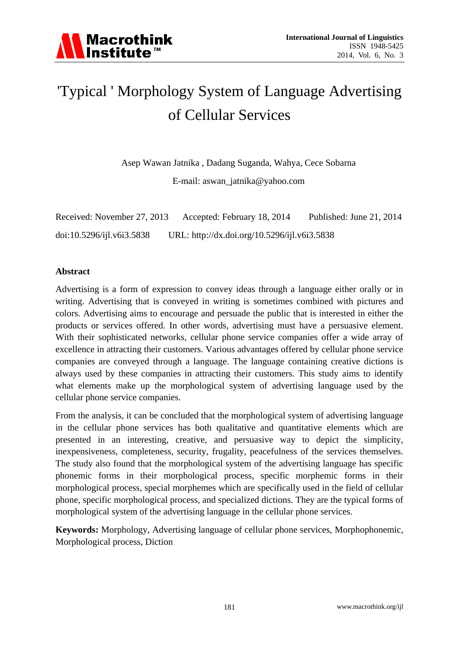## 'Typical ' Morphology System of Language Advertising of Cellular Services

Asep Wawan Jatnika , Dadang Suganda, Wahya, Cece Sobarna

E-mail: [aswan\\_jatnika@yahoo.com](mailto:aswan_jatnika@yahoo.com)

| Received: November 27, 2013 | Accepted: February 18, 2014                  | Published: June 21, 2014 |
|-----------------------------|----------------------------------------------|--------------------------|
| doi:10.5296/ijl.v6i3.5838   | URL: http://dx.doi.org/10.5296/ijl.v6i3.5838 |                          |

## **Abstract**

Advertising is a form of expression to convey ideas through a language either orally or in writing. Advertising that is conveyed in writing is sometimes combined with pictures and colors. Advertising aims to encourage and persuade the public that is interested in either the products or services offered. In other words, advertising must have a persuasive element. With their sophisticated networks, cellular phone service companies offer a wide array of excellence in attracting their customers. Various advantages offered by cellular phone service companies are conveyed through a language. The language containing creative dictions is always used by these companies in attracting their customers. This study aims to identify what elements make up the morphological system of advertising language used by the cellular phone service companies.

From the analysis, it can be concluded that the morphological system of advertising language in the cellular phone services has both qualitative and quantitative elements which are presented in an interesting, creative, and persuasive way to depict the simplicity, inexpensiveness, completeness, security, frugality, peacefulness of the services themselves. The study also found that the morphological system of the advertising language has specific phonemic forms in their morphological process, specific morphemic forms in their morphological process, special morphemes which are specifically used in the field of cellular phone, specific morphological process, and specialized dictions. They are the typical forms of morphological system of the advertising language in the cellular phone services.

**Keywords:** Morphology, Advertising language of cellular phone services, Morphophonemic, Morphological process, Diction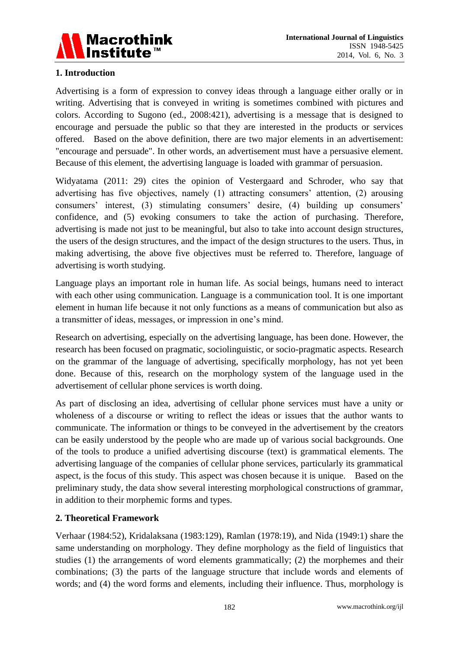

## **1. Introduction**

Advertising is a form of expression to convey ideas through a language either orally or in writing. Advertising that is conveyed in writing is sometimes combined with pictures and colors. According to Sugono (ed., 2008:421), advertising is a message that is designed to encourage and persuade the public so that they are interested in the products or services offered. Based on the above definition, there are two major elements in an advertisement: "encourage and persuade". In other words, an advertisement must have a persuasive element. Because of this element, the advertising language is loaded with grammar of persuasion.

Widyatama (2011: 29) cites the opinion of Vestergaard and Schroder, who say that advertising has five objectives, namely (1) attracting consumers' attention, (2) arousing consumers' interest, (3) stimulating consumers' desire, (4) building up consumers' confidence, and (5) evoking consumers to take the action of purchasing. Therefore, advertising is made not just to be meaningful, but also to take into account design structures, the users of the design structures, and the impact of the design structures to the users. Thus, in making advertising, the above five objectives must be referred to. Therefore, language of advertising is worth studying.

Language plays an important role in human life. As social beings, humans need to interact with each other using communication. Language is a communication tool. It is one important element in human life because it not only functions as a means of communication but also as a transmitter of ideas, messages, or impression in one's mind.

Research on advertising, especially on the advertising language, has been done. However, the research has been focused on pragmatic, sociolinguistic, or socio-pragmatic aspects. Research on the grammar of the language of advertising, specifically morphology, has not yet been done. Because of this, research on the morphology system of the language used in the advertisement of cellular phone services is worth doing.

As part of disclosing an idea, advertising of cellular phone services must have a unity or wholeness of a discourse or writing to reflect the ideas or issues that the author wants to communicate. The information or things to be conveyed in the advertisement by the creators can be easily understood by the people who are made up of various social backgrounds. One of the tools to produce a unified advertising discourse (text) is grammatical elements. The advertising language of the companies of cellular phone services, particularly its grammatical aspect, is the focus of this study. This aspect was chosen because it is unique. Based on the preliminary study, the data show several interesting morphological constructions of grammar, in addition to their morphemic forms and types.

## **2. Theoretical Framework**

Verhaar (1984:52), Kridalaksana (1983:129), Ramlan (1978:19), and Nida (1949:1) share the same understanding on morphology. They define morphology as the field of linguistics that studies (1) the arrangements of word elements grammatically; (2) the morphemes and their combinations; (3) the parts of the language structure that include words and elements of words; and (4) the word forms and elements, including their influence. Thus, morphology is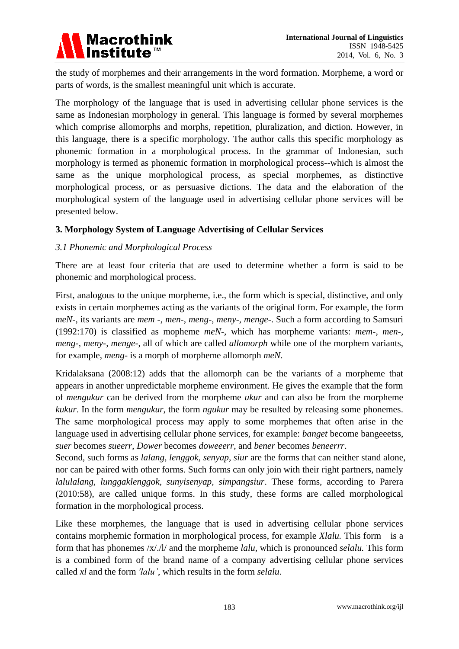

the study of morphemes and their arrangements in the word formation. Morpheme, a word or parts of words, is the smallest meaningful unit which is accurate.

The morphology of the language that is used in advertising cellular phone services is the same as Indonesian morphology in general. This language is formed by several morphemes which comprise allomorphs and morphs, repetition, pluralization, and diction. However, in this language, there is a specific morphology. The author calls this specific morphology as phonemic formation in a morphological process. In the grammar of Indonesian, such morphology is termed as phonemic formation in morphological process--which is almost the same as the unique morphological process, as special morphemes, as distinctive morphological process, or as persuasive dictions. The data and the elaboration of the morphological system of the language used in advertising cellular phone services will be presented below.

## **3. Morphology System of Language Advertising of Cellular Services**

### *3.1 Phonemic and Morphological Process*

There are at least four criteria that are used to determine whether a form is said to be phonemic and morphological process.

First, analogous to the unique morpheme, i.e., the form which is special, distinctive, and only exists in certain morphemes acting as the variants of the original form. For example, the form *meN*-, its variants are *mem* -, *men-*, *meng*-, *meny*-, *menge*-. Such a form according to Samsuri (1992:170) is classified as mopheme *meN*-, which has morpheme variants: *mem-, men-, meng-, meny-, menge-*, all of which are called *allomorph* while one of the morphem variants, for example, *meng-* is a morph of morpheme allomorph *meN*.

Kridalaksana (2008:12) adds that the allomorph can be the variants of a morpheme that appears in another unpredictable morpheme environment. He gives the example that the form of *mengukur* can be derived from the morpheme *ukur* and can also be from the morpheme *kukur*. In the form *mengukur*, the form *ngukur* may be resulted by releasing some phonemes. The same morphological process may apply to some morphemes that often arise in the language used in advertising cellular phone services, for example: *banget* become bangeeetss, *suer* becomes *sueerr*, *Dower* becomes *doweeerr*, and *bener* becomes *beneerrr*.

Second, such forms as *lalang, lenggok, senyap, siur* are the forms that can neither stand alone, nor can be paired with other forms. Such forms can only join with their right partners, namely *lalulalang, lunggaklenggok, sunyisenyap, simpangsiur*. These forms, according to Parera (2010:58), are called unique forms. In this study, these forms are called morphological formation in the morphological process.

Like these morphemes, the language that is used in advertising cellular phone services contains morphemic formation in morphological process, for example *Xlalu.* This form is a form that has phonemes /x/./l/ and the morpheme *lalu,* which is pronounced *selalu.* This form is a combined form of the brand name of a company advertising cellular phone services called *xl* and the form *'lalu'*, which results in the form *selalu*.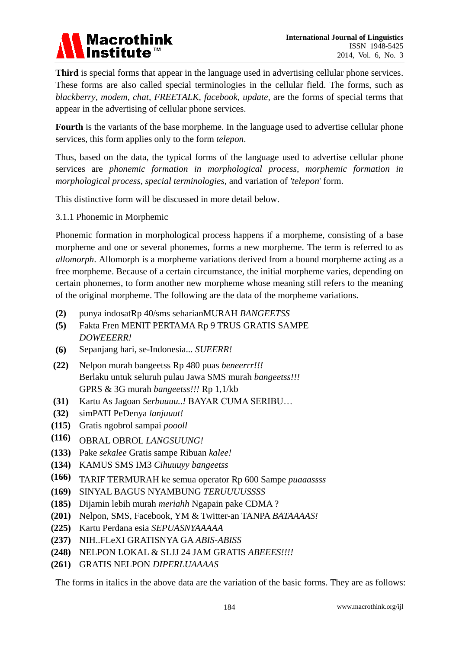

**Third** is special forms that appear in the language used in advertising cellular phone services. These forms are also called special terminologies in the cellular field. The forms, such as *blackberry, modem, chat, FREETALK, facebook, update,* are the forms of special terms that appear in the advertising of cellular phone services.

**Fourth** is the variants of the base morpheme. In the language used to advertise cellular phone services, this form applies only to the form *telepon*.

Thus, based on the data, the typical forms of the language used to advertise cellular phone services are *phonemic formation in morphological process, morphemic formation in morphological process, special terminologies,* and variation of *'telepon*' form.

This distinctive form will be discussed in more detail below.

3.1.1 Phonemic in Morphemic

Phonemic formation in morphological process happens if a morpheme, consisting of a base morpheme and one or several phonemes, forms a new morpheme. The term is referred to as *allomorph*. Allomorph is a morpheme variations derived from a bound morpheme acting as a free morpheme. Because of a certain circumstance, the initial morpheme varies, depending on certain phonemes, to form another new morpheme whose meaning still refers to the meaning of the original morpheme. The following are the data of the morpheme variations.

- **1(2)** punya indosatRp 40/sms seharianMURAH *BANGEETSS*
- **2(5)** Fakta Fren MENIT PERTAMA Rp 9 TRUS GRATIS SAMPE *DOWEEERR!*
- **3(6)** Sepanjang hari, se-Indonesia... *SUEERR!*
- **(22) 4** Nelpon murah bangeetss Rp 480 puas *beneerrr!!!* Berlaku untuk seluruh pulau Jawa SMS murah *bangeetss!!!* GPRS & 3G murah *bangeetss!!!* Rp 1,1/kb
- **(31) 5** Kartu As Jagoan *Serbuuuu..!* BAYAR CUMA SERIBU…
- **(32) 6** simPATI PeDenya *lanjuuut!*
- **(115) 7** Gratis ngobrol sampai *poooll*
- **(116) 8** OBRAL OBROL *LANGSUUNG!*
- **(133) 9** Pake *sekalee* Gratis sampe Ribuan *kalee!*
- **(134) 10** KAMUS SMS IM3 *Cihuuuyy bangeetss*
- **(166) 11** TARIF TERMURAH ke semua operator Rp 600 Sampe *puaaassss*
- **(169) 12** SINYAL BAGUS NYAMBUNG *TERUUUUSSSS*
- **(185) 13** Dijamin lebih murah *meriahh* Ngapain pake CDMA ?
- **(201) 14** Nelpon, SMS, Facebook, YM & Twitter-an TANPA *BATAAAAS!*
- **(225) 15** Kartu Perdana esia *SEPUASNYAAAAA*
- **(237) 16** NIH..FLeXI GRATISNYA GA *ABIS-ABISS*
- **(248) 17** NELPON LOKAL & SLJJ 24 JAM GRATIS *ABEEES!!!!*
- **(261) 18** GRATIS NELPON *DIPERLUAAAAS*

The forms in italics in the above data are the variation of the basic forms. They are as follows: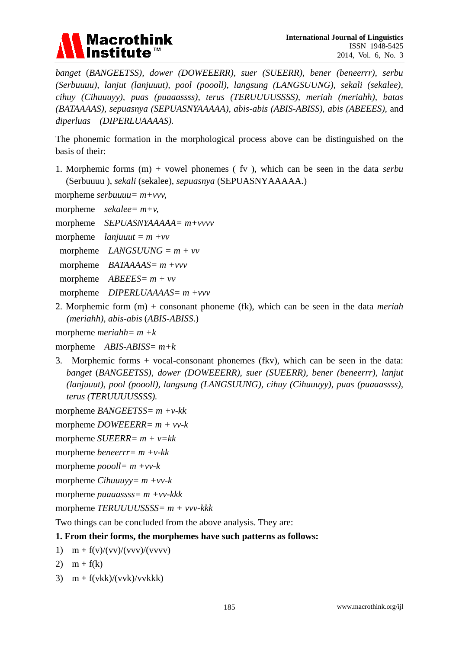

*banget* (*BANGEETSS), dower (DOWEEERR), suer (SUEERR), bener (beneerrr), serbu (Serbuuuu), lanjut (lanjuuut), pool (poooll), langsung (LANGSUUNG), sekali (sekalee), cihuy (Cihuuuyy), puas (puaaassss), terus (TERUUUUSSSS), meriah (meriahh), batas (BATAAAAS), sepuasnya (SEPUASNYAAAAA), abis-abis (ABIS-ABISS), abis (ABEEES),* and *diperluas (DIPERLUAAAAS).*

The phonemic formation in the morphological process above can be distinguished on the basis of their:

1. Morphemic forms (m) + vowel phonemes ( fv ), which can be seen in the data *serbu* (Serbuuuu ), *sekali* (sekalee), *sepuasnya* (SEPUASNYAAAAA.)

morpheme *serbuuuu= m+vvv,* 

- morpheme *sekalee= m+v,*
- morpheme *SEPUASNYAAAAA= m+vvvv*
- morpheme *lanjuuut = m +vv*
- morpheme *LANGSUUNG = m + vv*
- morpheme *BATAAAAS= m +vvv*
- morpheme *ABEEES= m + vv*
- morpheme *DIPERLUAAAAS= m +vvv*
- 2. Morphemic form (m) + consonant phoneme (fk), which can be seen in the data *meriah (meriahh), abis-abis* (*ABIS-ABISS*.)

morpheme *meriahh= m +k*

morpheme *ABIS-ABISS= m+k*

3. Morphemic forms + vocal-consonant phonemes (fkv), which can be seen in the data: *banget* (*BANGEETSS), dower (DOWEEERR), suer (SUEERR), bener (beneerrr), lanjut (lanjuuut), pool (poooll), langsung (LANGSUUNG), cihuy (Cihuuuyy), puas (puaaassss), terus (TERUUUUSSSS).*

morpheme *BANGEETSS= m +v-kk*

morpheme *DOWEEERR= m + vv-k*

- morpheme *SUEERR= m + v=kk*
- morpheme *beneerrr= m +v-kk*
- morpheme *poooll= m +vv-k*

morpheme *Cihuuuyy= m +vv-k*

morpheme *puaaassss= m +vv-kkk*

morpheme *TERUUUUSSSS= m + vvv-kkk*

Two things can be concluded from the above analysis. They are:

### **1. From their forms, the morphemes have such patterns as follows:**

1)  $m + f(v)/(vv)/(vvv)/(vvvv)$ 

$$
2) \quad m + f(k)
$$

3)  $m + f(vkk)/(vvk)/vvkkk$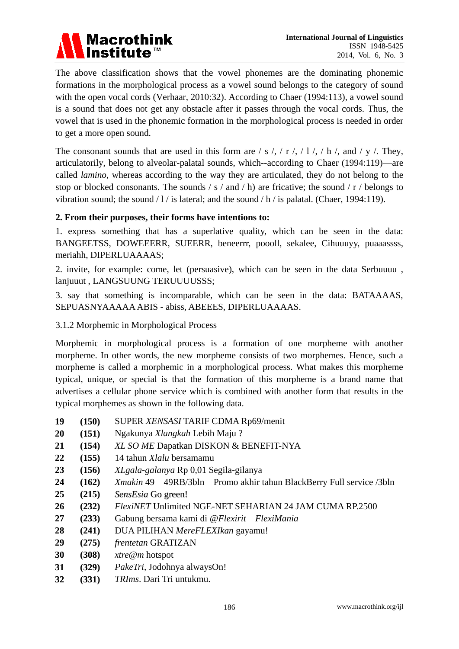

The above classification shows that the vowel phonemes are the dominating phonemic formations in the morphological process as a vowel sound belongs to the category of sound with the open vocal cords (Verhaar, 2010:32). According to Chaer (1994:113), a vowel sound is a sound that does not get any obstacle after it passes through the vocal cords. Thus, the vowel that is used in the phonemic formation in the morphological process is needed in order to get a more open sound.

The consonant sounds that are used in this form are / s /, / r /, / l /, / h /, and / y /. They, articulatorily, belong to alveolar-palatal sounds, which--according to Chaer (1994:119)—are called *lamino*, whereas according to the way they are articulated, they do not belong to the stop or blocked consonants. The sounds  $/ s /$  and  $/ h$ ) are fricative; the sound  $/ r /$  belongs to vibration sound; the sound  $/1/$  is lateral; and the sound  $/$  h  $/$  is palatal. (Chaer, 1994:119).

## **2. From their purposes, their forms have intentions to:**

1. express something that has a superlative quality, which can be seen in the data: BANGEETSS, DOWEEERR, SUEERR, beneerrr, poooll, sekalee, Cihuuuyy, puaaassss, meriahh, DIPERLUAAAAS;

2. invite, for example: come, let (persuasive), which can be seen in the data Serbuuuu , lanjuuut , LANGSUUNG TERUUUUSSS;

3. say that something is incomparable, which can be seen in the data: BATAAAAS, SEPUASNYAAAAA ABIS - abiss, ABEEES, DIPERLUAAAAS.

## 3.1.2 Morphemic in Morphological Process

Morphemic in morphological process is a formation of one morpheme with another morpheme. In other words, the new morpheme consists of two morphemes. Hence, such a morpheme is called a morphemic in a morphological process. What makes this morpheme typical, unique, or special is that the formation of this morpheme is a brand name that advertises a cellular phone service which is combined with another form that results in the typical morphemes as shown in the following data.

- **19 (150)** SUPER *XENSASI* TARIF CDMA Rp69/menit
- **20 (151)** Ngakunya *Xlangkah* Lebih Maju ?
- **21 (154)** *XL SO ME* Dapatkan DISKON & BENEFIT-NYA
- **22 (155)** 14 tahun *Xlalu* bersamamu
- **23 (156)** *XLgala-galanya* Rp 0,01 Segila-gilanya
- **24 (162)** *Xmakin* 49 49RB/3bln Promo akhir tahun BlackBerry Full service /3bln
- **25 (215)** *SensEsia* Go green!
- **26 (232)** *FlexiNET* Unlimited NGE-NET SEHARIAN 24 JAM CUMA RP.2500
- **27 (233)** Gabung bersama kami di @*Flexirit FlexiMania*
- **28 (241)** DUA PILIHAN *MereFLEXIkan* gayamu!
- **29 (275)** *frentetan* GRATIZAN
- **30 (308)** *xtre@m* hotspot
- **31 (329)** *PakeTri*, Jodohnya alwaysOn!
- **32 (331)** *TRIms*. Dari Tri untukmu.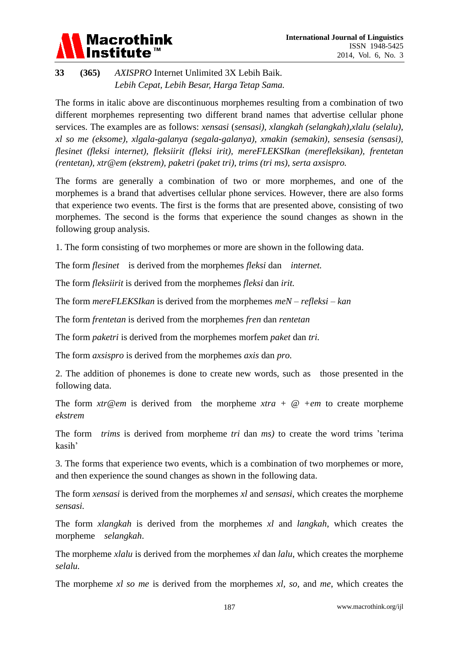# **Macrothink**

## **33 (365)** *AXISPRO* Internet Unlimited 3X Lebih Baik. *Lebih Cepat, Lebih Besar, Harga Tetap Sama.*

The forms in italic above are discontinuous morphemes resulting from a combination of two different morphemes representing two different brand names that advertise cellular phone services. The examples are as follows: *xensasi* (*sensasi), xlangkah (selangkah),xlalu (selalu), xl so me (eksome), xlgala-galanya (segala-galanya), xmakin (semakin), sensesia (sensasi), flesinet (fleksi internet), fleksiirit (fleksi irit), mereFLEKSIkan (merefleksikan), frentetan (rentetan), xtr@em (ekstrem), paketri (paket tri), trims (tri ms), serta axsispro.*

The forms are generally a combination of two or more morphemes, and one of the morphemes is a brand that advertises cellular phone services. However, there are also forms that experience two events. The first is the forms that are presented above, consisting of two morphemes. The second is the forms that experience the sound changes as shown in the following group analysis.

1. The form consisting of two morphemes or more are shown in the following data.

The form *flesinet* is derived from the morphemes *fleksi* dan *internet.*

The form *fleksiirit* is derived from the morphemes *fleksi* dan *irit.*

The form *mereFLEKSIkan* is derived from the morphemes *meN – refleksi – kan*

The form *frentetan* is derived from the morphemes *fren* dan *rentetan*

The form *paketri* is derived from the morphemes morfem *paket* dan *tri.*

The form *axsispro* is derived from the morphemes *axis* dan *pro.*

2. The addition of phonemes is done to create new words, such as those presented in the following data.

The form *xtr@em* is derived from the morpheme *xtra + @ +em* to create morpheme *ekstrem*

The form *trims* is derived from morpheme *tri* dan *ms)* to create the word trims 'terima kasih'

3. The forms that experience two events, which is a combination of two morphemes or more, and then experience the sound changes as shown in the following data.

The form *xensasi* is derived from the morphemes *xl* and *sensasi*, which creates the morpheme *sensasi.*

The form *xlangkah* is derived from the morphemes *xl* and *langkah*, which creates the morpheme *selangkah*.

The morpheme *xlalu* is derived from the morphemes *xl* dan *lalu*, which creates the morpheme *selalu.*

The morpheme *xl so me* is derived from the morphemes *xl, so,* and *me*, which creates the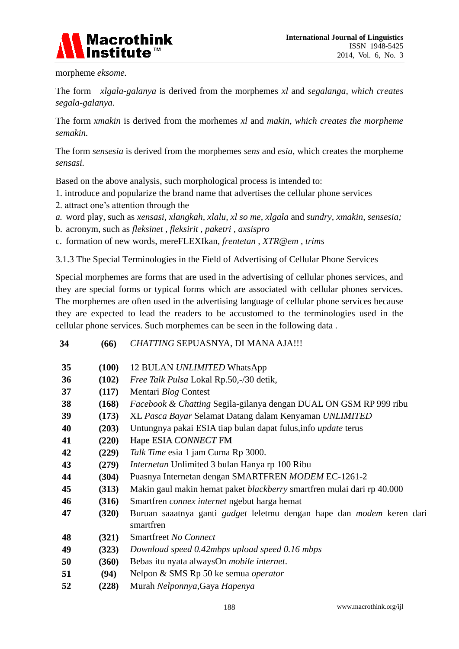

morpheme *eksome.*

The form *xlgala-galanya* is derived from the morphemes *xl* and *segalanga, which creates segala-galanya.*

The form *xmakin* is derived from the morhemes *xl* and *makin, which creates the morpheme semakin.*

The form *sensesia* is derived from the morphemes *sens* and *esia,* which creates the morpheme *sensasi.*

Based on the above analysis, such morphological process is intended to:

- 1. introduce and popularize the brand name that advertises the cellular phone services
- 2. attract one's attention through the
- *a.* word play, such as *xensasi*, *xlangkah, xlalu, xl so me, xlgala* and *sundry, xmakin, sensesia;*
- b. acronym, such as *fleksinet , fleksirit , paketri , axsispro*
- c. formation of new words, mereFLEXIkan*, frentetan , XTR@em , trims*

**34 (66)** *CHATTING* SEPUASNYA, DI MANA AJA!!!

3.1.3 The Special Terminologies in the Field of Advertising of Cellular Phone Services

Special morphemes are forms that are used in the advertising of cellular phones services, and they are special forms or typical forms which are associated with cellular phones services. The morphemes are often used in the advertising language of cellular phone services because they are expected to lead the readers to be accustomed to the terminologies used in the cellular phone services. Such morphemes can be seen in the following data .

| 35 | (100) | 12 BULAN UNLIMITED WhatsApp                                                                      |  |
|----|-------|--------------------------------------------------------------------------------------------------|--|
| 36 | (102) | Free Talk Pulsa Lokal Rp.50,-/30 detik,                                                          |  |
| 37 | (117) | Mentari Blog Contest                                                                             |  |
| 38 | (168) | Facebook & Chatting Segila-gilanya dengan DUAL ON GSM RP 999 ribu                                |  |
| 39 | (173) | XL Pasca Bayar Selamat Datang dalam Kenyaman UNLIMITED                                           |  |
| 40 | (203) | Untungnya pakai ESIA tiap bulan dapat fulus, info update terus                                   |  |
| 41 | (220) | Hape ESIA CONNECT FM                                                                             |  |
| 42 | (229) | Talk Time esia 1 jam Cuma Rp 3000.                                                               |  |
| 43 | (279) | <i>Internetan</i> Unlimited 3 bulan Hanya rp 100 Ribu                                            |  |
| 44 | (304) | Puasnya Internetan dengan SMARTFREN MODEM EC-1261-2                                              |  |
| 45 | (313) | Makin gaul makin hemat paket blackberry smartfren mulai dari rp 40.000                           |  |
| 46 | (316) | Smartfren connex internet ngebut harga hemat                                                     |  |
| 47 | (320) | Buruan saaatnya ganti <i>gadget</i> leletmu dengan hape dan <i>modem</i> keren dari<br>smartfren |  |
| 48 | (321) | Smartfreet No Connect                                                                            |  |
| 49 | (323) | Download speed 0.42mbps upload speed 0.16 mbps                                                   |  |
| 50 | (360) | Bebas itu nyata alwaysOn mobile internet.                                                        |  |
| 51 | (94)  | Nelpon & SMS Rp 50 ke semua operator                                                             |  |
| 52 | (228) | Murah Nelponnya, Gaya Hapenya                                                                    |  |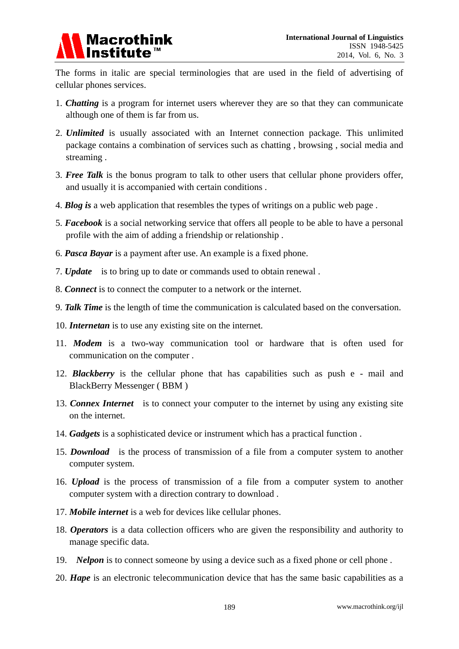

The forms in italic are special terminologies that are used in the field of advertising of cellular phones services.

- 1. *Chatting* is a program for internet users wherever they are so that they can communicate although one of them is far from us.
- 2. *Unlimited* is usually associated with an Internet connection package. This unlimited package contains a combination of services such as chatting , browsing , social media and streaming .
- 3. *Free Talk* is the bonus program to talk to other users that cellular phone providers offer, and usually it is accompanied with certain conditions .
- 4. *Blog is* a web application that resembles the types of writings on a public web page .
- 5. *Facebook* is a social networking service that offers all people to be able to have a personal profile with the aim of adding a friendship or relationship .
- 6. *Pasca Bayar* is a payment after use. An example is a fixed phone.
- 7. *Update* is to bring up to date or commands used to obtain renewal .
- 8. *Connect* is to connect the computer to a network or the internet.
- 9. *Talk Time* is the length of time the communication is calculated based on the conversation.
- 10. *Internetan* is to use any existing site on the internet.
- 11. *Modem* is a two-way communication tool or hardware that is often used for communication on the computer .
- 12. *Blackberry* is the cellular phone that has capabilities such as push e mail and BlackBerry Messenger ( BBM )
- 13. *Connex Internet* is to connect your computer to the internet by using any existing site on the internet.
- 14. *Gadgets* is a sophisticated device or instrument which has a practical function .
- 15. *Download* is the process of transmission of a file from a computer system to another computer system.
- 16. *Upload* is the process of transmission of a file from a computer system to another computer system with a direction contrary to download .
- 17. *Mobile internet* is a web for devices like cellular phones.
- 18. *Operators* is a data collection officers who are given the responsibility and authority to manage specific data.
- 19. *Nelpon* is to connect someone by using a device such as a fixed phone or cell phone.
- 20. *Hape* is an electronic telecommunication device that has the same basic capabilities as a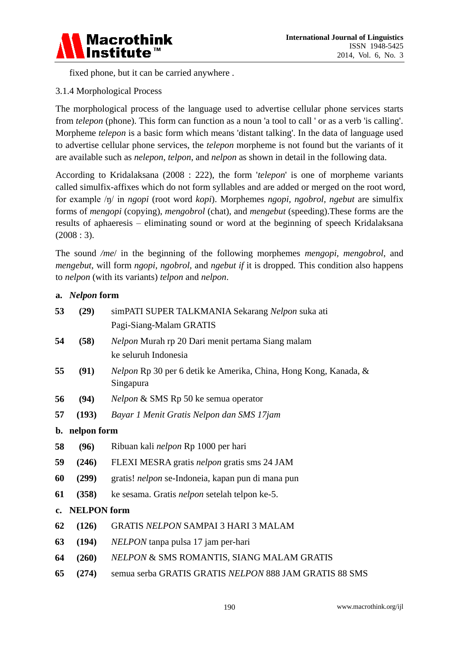

fixed phone, but it can be carried anywhere .

## 3.1.4 Morphological Process

The morphological process of the language used to advertise cellular phone services starts from *telepon* (phone). This form can function as a noun 'a tool to call ' or as a verb 'is calling'. Morpheme *telepon* is a basic form which means 'distant talking'. In the data of language used to advertise cellular phone services, the *telepon* morpheme is not found but the variants of it are available such as *nelepon*, *telpon*, and *nelpon* as shown in detail in the following data.

According to Kridalaksana (2008 : 222), the form '*telepon*' is one of morpheme variants called simulfix-affixes which do not form syllables and are added or merged on the root word, for example /ŋ/ in *ngopi* (root word *kopi*). Morphemes *ngopi, ngobrol, ngebut* are simulfix forms of *mengopi* (copying), *mengobrol* (chat), and *mengebut* (speeding).These forms are the results of aphaeresis – eliminating sound or word at the beginning of speech Kridalaksana  $(2008:3)$ .

The sound */me*/ in the beginning of the following morphemes *mengopi, mengobrol*, and *mengebut*, will form *ngopi*, *ngobrol*, and *ngebut if* it is dropped*.* This condition also happens to *nelpon* (with its variants) *telpon* and *nelpon*.

## **a.** *Nelpon* **form**

| 53            | (29)               | simPATI SUPER TALKMANIA Sekarang Nelpon suka ati                              |  |
|---------------|--------------------|-------------------------------------------------------------------------------|--|
|               |                    | Pagi-Siang-Malam GRATIS                                                       |  |
| 54            | (58)               | Nelpon Murah rp 20 Dari menit pertama Siang malam                             |  |
|               |                    | ke seluruh Indonesia                                                          |  |
| 55            | (91)               | Nelpon Rp 30 per 6 detik ke Amerika, China, Hong Kong, Kanada, &<br>Singapura |  |
| 56            | (94)               | Nelpon & SMS Rp 50 ke semua operator                                          |  |
| 57            | (193)              | Bayar 1 Menit Gratis Nelpon dan SMS 17jam                                     |  |
|               | b. nelpon form     |                                                                               |  |
| 58            | (96)               | Ribuan kali nelpon Rp 1000 per hari                                           |  |
| 59            | (246)              | FLEXI MESRA gratis nelpon gratis sms 24 JAM                                   |  |
| 60            | (299)              | gratis! nelpon se-Indoneia, kapan pun di mana pun                             |  |
| 61            | (358)              | ke sesama. Gratis <i>nelpon</i> setelah telpon ke-5.                          |  |
| $c_{\bullet}$ | <b>NELPON</b> form |                                                                               |  |
| 62            | (126)              | <b>GRATIS NELPON SAMPAI 3 HARI 3 MALAM</b>                                    |  |
| 63            | (194)              | <i>NELPON</i> tanpa pulsa 17 jam per-hari                                     |  |
| 64            | (260)              | NELPON & SMS ROMANTIS, SIANG MALAM GRATIS                                     |  |
| 65            | (274)              | semua serba GRATIS GRATIS NELPON 888 JAM GRATIS 88 SMS                        |  |
|               |                    |                                                                               |  |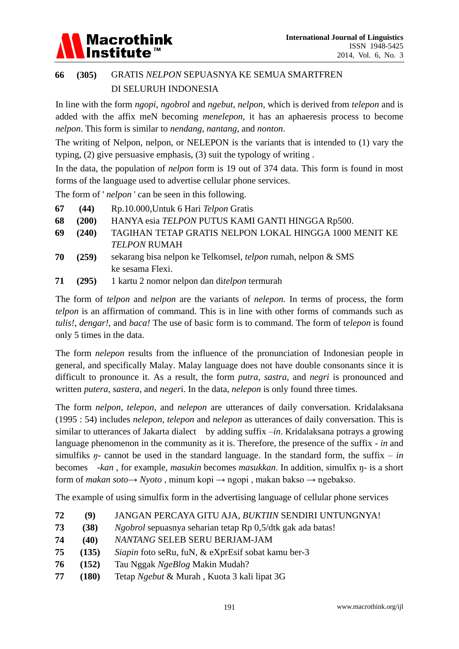

## **66 (305)** GRATIS *NELPON* SEPUASNYA KE SEMUA SMARTFREN DI SELURUH INDONESIA

In line with the form *ngopi*, *ngobrol* and *ngebut*, *nelpon*, which is derived from *telepon* and is added with the affix meN becoming *menelepon*, it has an aphaeresis process to become *nelpon*. This form is similar to *nendang*, *nantang*, and *nonton*.

The writing of Nelpon, nelpon, or NELEPON is the variants that is intended to (1) vary the typing, (2) give persuasive emphasis, (3) suit the typology of writing .

In the data, the population of *nelpon* form is 19 out of 374 data. This form is found in most forms of the language used to advertise cellular phone services.

The form of ' *nelpon* ' can be seen in this following.

- **67 (44)** Rp.10.000,Untuk 6 Hari *Telpon* Gratis
- **68 (200)** HANYA esia *TELPON* PUTUS KAMI GANTI HINGGA Rp500.
- **69 (240)** TAGIHAN TETAP GRATIS NELPON LOKAL HINGGA 1000 MENIT KE *TELPON* RUMAH
- **70 (259)** sekarang bisa nelpon ke Telkomsel, *telpon* rumah, nelpon & SMS ke sesama Flexi.
- **71 (295)** 1 kartu 2 nomor nelpon dan di*telpon* termurah

The form of *telpon* and *nelpon* are the variants of *nelepon.* In terms of process, the form *telpon* is an affirmation of command. This is in line with other forms of commands such as *tulis!, dengar!,* and *baca!* The use of basic form is to command. The form of t*elepon* is found only 5 times in the data.

The form *nelepon* results from the influence of the pronunciation of Indonesian people in general, and specifically Malay. Malay language does not have double consonants since it is difficult to pronounce it. As a result, the form *putra*, *sastra*, and *negri* is pronounced and written *putera*, *sastera*, and *neger*i. In the data, *nelepon* is only found three times.

The form *nelpon*, *telepon*, and *nelepon* are utterances of daily conversation. Kridalaksana (1995 : 54) includes *nelepon*, *telepon* and *nelepon* as utterances of daily conversation. This is similar to utterances of Jakarta dialect by adding suffix –*in*. Kridalaksana potrays a growing language phenomenon in the community as it is. Therefore, the presence of the suffix - *in* and simulfiks  $\eta$ - cannot be used in the standard language. In the standard form, the suffix – *in* becomes -*kan* , for example, *masukin* becomes *masukkan*. In addition, simulfix ŋ- is a short form of *makan soto*→ *Nyoto* , minum kopi → ngopi , makan bakso → ngebakso.

The example of using simulfix form in the advertising language of cellular phone services

- **72 (9)** JANGAN PERCAYA GITU AJA, *BUKTIIN* SENDIRI UNTUNGNYA!
- **73 (38)** *Ngobrol* sepuasnya seharian tetap Rp 0,5/dtk gak ada batas!
- **74 (40)** *NANTANG* SELEB SERU BERJAM-JAM
- **75 (135)** *Siapin* foto seRu, fuN, & eXprEsif sobat kamu ber-3
- **76 (152)** Tau Nggak *NgeBlog* Makin Mudah?
- **77 (180)** Tetap *Ngebut* & Murah , Kuota 3 kali lipat 3G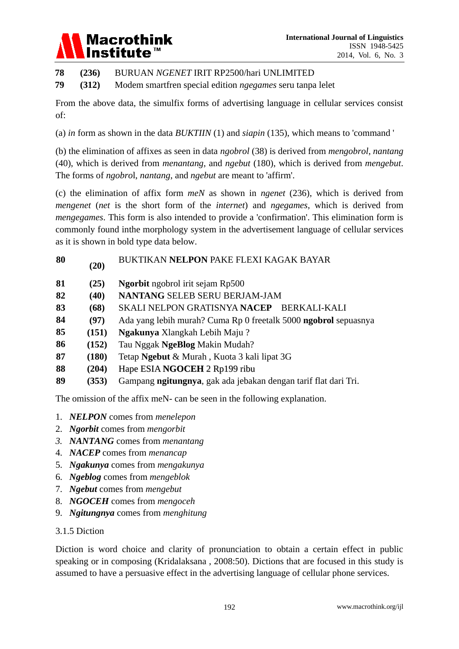## Macrothink<br>Institute™

**78 (236)** BURUAN *NGENET* IRIT RP2500/hari UNLIMITED

**79 (312)** Modem smartfren special edition *ngegames* seru tanpa lelet

From the above data, the simulfix forms of advertising language in cellular services consist of:

(a) *in* form as shown in the data *BUKTIIN* (1) and *siapin* (135), which means to 'command '

(b) the elimination of affixes as seen in data *ngobrol* (38) is derived from *mengobrol*, *nantang* (40), which is derived from *menantang*, and *ngebut* (180), which is derived from *mengebut*. The forms of *ngobro*l, *nantang*, and *ngebut* are meant to 'affirm'.

(c) the elimination of affix form *meN* as shown in *ngenet* (236), which is derived from *mengenet* (*net* is the short form of the *internet*) and *ngegames*, which is derived from *mengegames*. This form is also intended to provide a 'confirmation'. This elimination form is commonly found inthe morphology system in the advertisement language of cellular services as it is shown in bold type data below.

## **<sup>80</sup> (20)** BUKTIKAN **NELPON** PAKE FLEXI KAGAK BAYAR

- **81 (25) Ngorbit** ngobrol irit sejam Rp500
- **82 (40) NANTANG** SELEB SERU BERJAM-JAM
- **83 (68)** SKALI NELPON GRATISNYA **NACEP** BERKALI-KALI
- **84 (97)** Ada yang lebih murah? Cuma Rp 0 freetalk 5000 **ngobrol** sepuasnya
- **85 (151) Ngakunya** Xlangkah Lebih Maju ?
- **86 (152)** Tau Nggak **NgeBlog** Makin Mudah?
- **87 (180)** Tetap **Ngebut** & Murah , Kuota 3 kali lipat 3G
- **88 (204)** Hape ESIA **NGOCEH** 2 Rp199 ribu
- **89 (353)** Gampang **ngitungnya**, gak ada jebakan dengan tarif flat dari Tri.

The omission of the affix meN- can be seen in the following explanation.

- 1. *NELPON* comes from *menelepon*
- 2. *Ngorbit* comes from *mengorbit*
- *3. NANTANG* comes from *menantang*
- 4. *NACEP* comes from *menancap*
- 5. *Ngakunya* comes from *mengakunya*
- 6. *Ngeblog* comes from *mengeblok*
- 7. *Ngebut* comes from *mengebut*
- 8. *NGOCEH* comes from *mengoceh*
- 9. *Ngitungnya* comes from *menghitung*

## 3.1.5 Diction

Diction is word choice and clarity of pronunciation to obtain a certain effect in public speaking or in composing (Kridalaksana , 2008:50). Dictions that are focused in this study is assumed to have a persuasive effect in the advertising language of cellular phone services.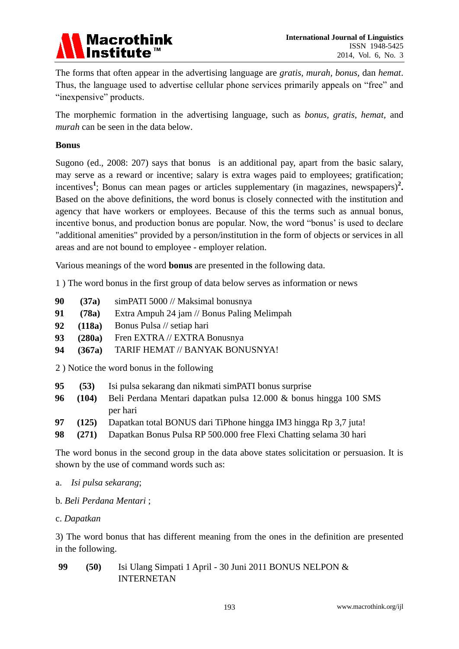

The forms that often appear in the advertising language are *gratis, murah, bonus,* dan *hemat*. Thus, the language used to advertise cellular phone services primarily appeals on "free" and "inexpensive" products.

The morphemic formation in the advertising language, such as *bonus, gratis, hemat,* and *murah* can be seen in the data below.

## **Bonus**

Sugono (ed., 2008: 207) says that bonus is an additional pay, apart from the basic salary, may serve as a reward or incentive; salary is extra wages paid to employees; gratification; incentives<sup>1</sup>; Bonus can mean pages or articles supplementary (in magazines, newspapers)<sup>2</sup>. Based on the above definitions, the word bonus is closely connected with the institution and agency that have workers or employees. Because of this the terms such as annual bonus, incentive bonus, and production bonus are popular. Now, the word "bonus' is used to declare "additional amenities" provided by a person/institution in the form of objects or services in all areas and are not bound to employee - employer relation.

Various meanings of the word **bonus** are presented in the following data.

1 ) The word bonus in the first group of data below serves as information or news

- **90 (37a)** simPATI 5000 // Maksimal bonusnya
- **91 (78a)** Extra Ampuh 24 jam // Bonus Paling Melimpah
- **92 (118a)** Bonus Pulsa // setiap hari
- **93 (280a)** Fren EXTRA // EXTRA Bonusnya
- **94 (367a)** TARIF HEMAT // BANYAK BONUSNYA!

2 ) Notice the word bonus in the following

| 95 | (53)  | Isi pulsa sekarang dan nikmati simPATI bonus surprise                          |
|----|-------|--------------------------------------------------------------------------------|
| 96 |       | <b>(104)</b> Beli Perdana Mentari dapatkan pulsa 12.000 & bonus hingga 100 SMS |
|    |       | per hari                                                                       |
| 97 | (125) | Dapatkan total BONUS dari TiPhone hingga IM3 hingga Rp 3,7 juta!               |
|    |       |                                                                                |

**98 (271)** Dapatkan Bonus Pulsa RP 500.000 free Flexi Chatting selama 30 hari

The word bonus in the second group in the data above states solicitation or persuasion. It is shown by the use of command words such as:

- a. *Isi pulsa sekarang*;
- b. *Beli Perdana Mentari* ;
- c. *Dapatkan*

3) The word bonus that has different meaning from the ones in the definition are presented in the following.

**99 (50)** Isi Ulang Simpati 1 April - 30 Juni 2011 BONUS NELPON & INTERNETAN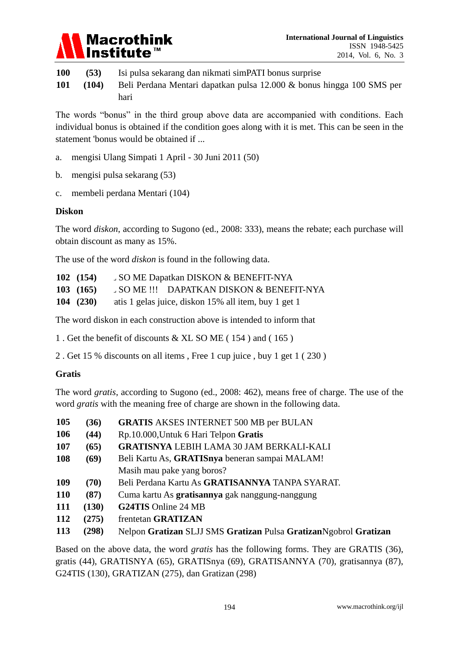

**100 (53)** Isi pulsa sekarang dan nikmati simPATI bonus surprise **101 (104)** Beli Perdana Mentari dapatkan pulsa 12.000 & bonus hingga 100 SMS per

hari

The words "bonus" in the third group above data are accompanied with conditions. Each individual bonus is obtained if the condition goes along with it is met. This can be seen in the statement 'bonus would be obtained if ...

- a. mengisi Ulang Simpati 1 April 30 Juni 2011 (50)
- b. mengisi pulsa sekarang (53)
- c. membeli perdana Mentari (104)

## **Diskon**

The word *diskon*, according to Sugono (ed., 2008: 333), means the rebate; each purchase will obtain discount as many as 15%.

The use of the word *diskon* is found in the following data.

| 102(154)          | SO ME Dapatkan DISKON & BENEFIT-NYA                  |
|-------------------|------------------------------------------------------|
| $103 \quad (165)$ | SOME !!! DAPATKAN DISKON & BENEFIT-NYA               |
| 104(230)          | atis 1 gelas juice, diskon 15% all item, buy 1 get 1 |

The word diskon in each construction above is intended to inform that

1 . Get the benefit of discounts & XL SO ME ( 154 ) and ( 165 )

2 . Get 15 % discounts on all items , Free 1 cup juice , buy 1 get 1 ( 230 )

## **Gratis**

The word *gratis*, according to Sugono (ed., 2008: 462), means free of charge. The use of the word *gratis* with the meaning free of charge are shown in the following data.

| 105 | (36)  | <b>GRATIS AKSES INTERNET 500 MB per BULAN</b>                     |
|-----|-------|-------------------------------------------------------------------|
| 106 | (44)  | Rp.10.000, Untuk 6 Hari Telpon Gratis                             |
| 107 | (65)  | <b>GRATISNYA LEBIH LAMA 30 JAM BERKALI-KALI</b>                   |
| 108 | (69)  | Beli Kartu As, GRATISnya beneran sampai MALAM!                    |
|     |       | Masih mau pake yang boros?                                        |
| 109 | (70)  | Beli Perdana Kartu As GRATISANNYA TANPA SYARAT.                   |
| 110 | (87)  | Cuma kartu As <b>gratisannya</b> gak nanggung-nanggung            |
| 111 | (130) | <b>G24TIS</b> Online 24 MB                                        |
| 112 | (275) | frentetan GRATIZAN                                                |
| 113 | (298) | Nelpon Gratizan SLJJ SMS Gratizan Pulsa Gratizan Ngobrol Gratizan |
|     |       |                                                                   |

Based on the above data, the word *gratis* has the following forms. They are GRATIS (36), gratis (44), GRATISNYA (65), GRATISnya (69), GRATISANNYA (70), gratisannya (87), G24TIS (130), GRATIZAN (275), dan Gratizan (298)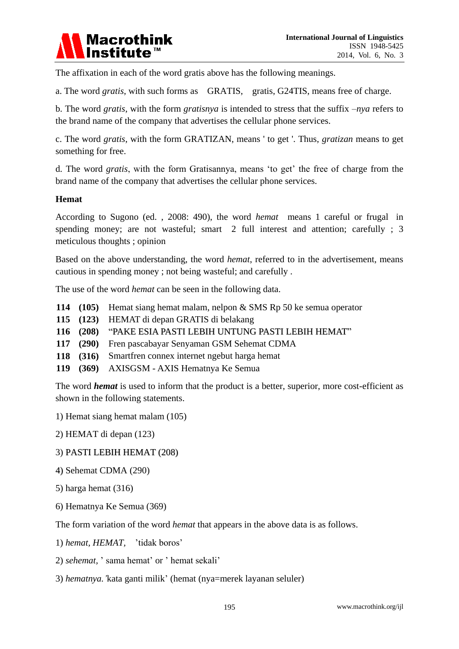

The affixation in each of the word gratis above has the following meanings.

a. The word *gratis*, with such forms as GRATIS, gratis, G24TIS, means free of charge.

b. The word *gratis*, with the form *gratisnya* is intended to stress that the suffix –*nya* refers to the brand name of the company that advertises the cellular phone services.

c. The word *gratis*, with the form GRATIZAN, means ' to get '. Thus, *gratizan* means to get something for free.

d. The word *gratis*, with the form Gratisannya, means 'to get' the free of charge from the brand name of the company that advertises the cellular phone services.

### **Hemat**

According to Sugono (ed. , 2008: 490), the word *hemat* means 1 careful or frugal in spending money; are not wasteful; smart 2 full interest and attention; carefully ; 3 meticulous thoughts ; opinion

Based on the above understanding, the word *hemat*, referred to in the advertisement, means cautious in spending money ; not being wasteful; and carefully .

The use of the word *hemat* can be seen in the following data.

- **114 (105)** Hemat siang hemat malam, nelpon & SMS Rp 50 ke semua operator
- **115 (123)** HEMAT di depan GRATIS di belakang
- **116 (208)** "PAKE ESIA PASTI LEBIH UNTUNG PASTI LEBIH HEMAT"
- **117 (290)** Fren pascabayar Senyaman GSM Sehemat CDMA
- **118 (316)** Smartfren connex internet ngebut harga hemat
- **119 (369)** AXISGSM AXIS Hematnya Ke Semua

The word *hemat* is used to inform that the product is a better, superior, more cost-efficient as shown in the following statements.

- 1) Hemat siang hemat malam (105)
- 2) HEMAT di depan (123)
- 3) PASTI LEBIH HEMAT (208)
- 4) Sehemat CDMA (290)
- 5) harga hemat (316)
- 6) Hematnya Ke Semua (369)

The form variation of the word *hemat* that appears in the above data is as follows.

- 1) *hemat, HEMAT,* 'tidak boros'
- 2) *sehemat,* ' sama hemat' or ' hemat sekali'
- 3) *hematnya.'*kata ganti milik' (hemat (nya=merek layanan seluler)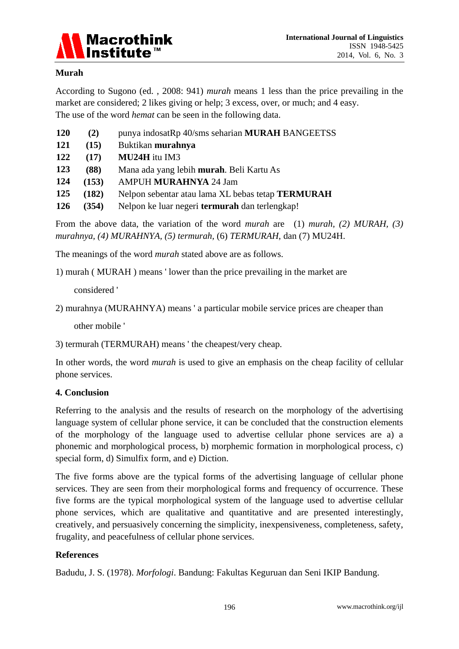

## **Murah**

According to Sugono (ed. , 2008: 941) *murah* means 1 less than the price prevailing in the market are considered; 2 likes giving or help; 3 excess, over, or much; and 4 easy. The use of the word *hemat* can be seen in the following data.

| <b>120</b> | (2)   | punya indosatRp 40/sms seharian MURAH BANGEETSS       |
|------------|-------|-------------------------------------------------------|
| 121        | (15)  | Buktikan murahnya                                     |
| 122        | (17)  | MU24H itu IM3                                         |
| 123        | (88)  | Mana ada yang lebih <b>murah</b> . Beli Kartu As      |
| 124        | (153) | <b>AMPUH MURAHNYA 24 Jam</b>                          |
| 125        | (182) | Nelpon sebentar atau lama XL bebas tetap TERMURAH     |
| <b>126</b> | (354) | Nelpon ke luar negeri <b>termurah</b> dan terlengkap! |

From the above data, the variation of the word *murah* are (1) *murah, (2) MURAH, (3) murahnya, (4) MURAHNYA, (5) termurah,* (6) *TERMURAH*, dan (7) MU24H.

The meanings of the word *murah* stated above are as follows.

1) murah ( MURAH ) means ' lower than the price prevailing in the market are

considered '

2) murahnya (MURAHNYA) means ' a particular mobile service prices are cheaper than

other mobile '

```
3) termurah (TERMURAH) means ' the cheapest/very cheap.
```
In other words, the word *murah* is used to give an emphasis on the cheap facility of cellular phone services.

## **4. Conclusion**

Referring to the analysis and the results of research on the morphology of the advertising language system of cellular phone service, it can be concluded that the construction elements of the morphology of the language used to advertise cellular phone services are a) a phonemic and morphological process, b) morphemic formation in morphological process, c) special form, d) Simulfix form, and e) Diction.

The five forms above are the typical forms of the advertising language of cellular phone services. They are seen from their morphological forms and frequency of occurrence. These five forms are the typical morphological system of the language used to advertise cellular phone services, which are qualitative and quantitative and are presented interestingly, creatively, and persuasively concerning the simplicity, inexpensiveness, completeness, safety, frugality, and peacefulness of cellular phone services.

## **References**

Badudu, J. S. (1978). *Morfologi*. Bandung: Fakultas Keguruan dan Seni IKIP Bandung.